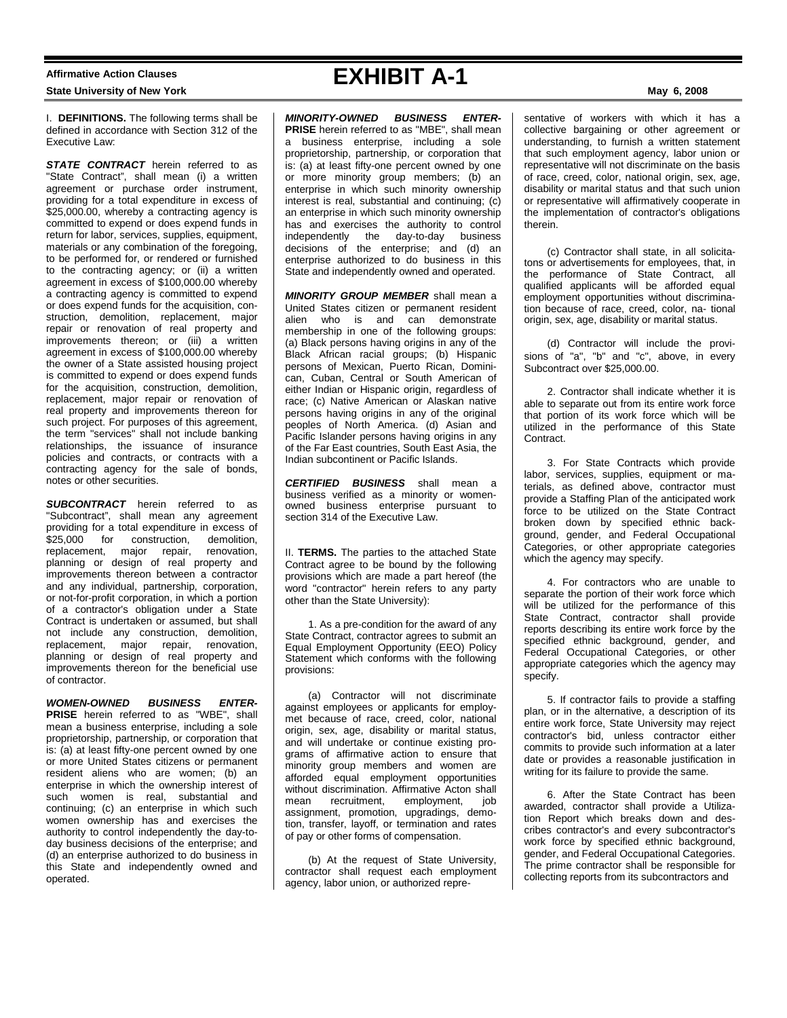## **Affirmative Action Clauses State University of New York May 6, 2008**

I. **DEFINITIONS.** The following terms shall be defined in accordance with Section 312 of the Executive Law:

**STATE CONTRACT** herein referred to as "State Contract", shall mean (i) a written agreement or purchase order instrument, providing for a total expenditure in excess of \$25,000.00, whereby a contracting agency is committed to expend or does expend funds in return for labor, services, supplies, equipment, materials or any combination of the foregoing, to be performed for, or rendered or furnished to the contracting agency; or (ii) a written agreement in excess of \$100,000.00 whereby a contracting agency is committed to expend or does expend funds for the acquisition, construction, demolition, replacement, major repair or renovation of real property and improvements thereon; or (iii) a written agreement in excess of \$100,000.00 whereby the owner of a State assisted housing project is committed to expend or does expend funds for the acquisition, construction, demolition, replacement, major repair or renovation of real property and improvements thereon for such project. For purposes of this agreement, the term "services" shall not include banking relationships, the issuance of insurance policies and contracts, or contracts with a contracting agency for the sale of bonds, notes or other securities.

**SUBCONTRACT** herein referred to as "Subcontract", shall mean any agreement providing for a total expenditure in excess of \$25,000 for construction, demolition, replacement, major repair, renovation, planning or design of real property and improvements thereon between a contractor and any individual, partnership, corporation, or not-for-profit corporation, in which a portion of a contractor's obligation under a State Contract is undertaken or assumed, but shall not include any construction, demolition, replacement, major repair, renovation, planning or design of real property and improvements thereon for the beneficial use of contractor.

*WOMEN-OWNED BUSINESS ENTER-***PRISE** herein referred to as "WBE", shall mean a business enterprise, including a sole proprietorship, partnership, or corporation that is: (a) at least fifty-one percent owned by one or more United States citizens or permanent resident aliens who are women; (b) an enterprise in which the ownership interest of such women is real, substantial and continuing; (c) an enterprise in which such women ownership has and exercises the authority to control independently the day-today business decisions of the enterprise; and (d) an enterprise authorized to do business in this State and independently owned and operated.

## **EXHIBIT A-1**

*MINORITY-OWNED BUSINESS ENTER-***PRISE** herein referred to as "MBE", shall mean a business enterprise, including a sole proprietorship, partnership, or corporation that is: (a) at least fifty-one percent owned by one or more minority group members; (b) an enterprise in which such minority ownership interest is real, substantial and continuing; (c) an enterprise in which such minority ownership has and exercises the authority to control independently the day-to-day business decisions of the enterprise; and (d) an enterprise authorized to do business in this State and independently owned and operated.

*MINORITY GROUP MEMBER* shall mean a United States citizen or permanent resident alien who is and can demonstrate membership in one of the following groups: (a) Black persons having origins in any of the Black African racial groups; (b) Hispanic persons of Mexican, Puerto Rican, Dominican, Cuban, Central or South American of either Indian or Hispanic origin, regardless of race; (c) Native American or Alaskan native persons having origins in any of the original peoples of North America. (d) Asian and Pacific Islander persons having origins in any of the Far East countries, South East Asia, the Indian subcontinent or Pacific Islands.

*CERTIFIED BUSINESS* shall mean a business verified as a minority or womenowned business enterprise pursuant to section 314 of the Executive Law.

II. **TERMS.** The parties to the attached State Contract agree to be bound by the following provisions which are made a part hereof (the word "contractor" herein refers to any party other than the State University):

1. As a pre-condition for the award of any State Contract, contractor agrees to submit an Equal Employment Opportunity (EEO) Policy Statement which conforms with the following provisions:

(a) Contractor will not discriminate against employees or applicants for employmet because of race, creed, color, national origin, sex, age, disability or marital status, and will undertake or continue existing programs of affirmative action to ensure that minority group members and women are afforded equal employment opportunities without discrimination. Affirmative Acton shall<br>mean recruitment, employment, job mean recruitment, employment, job assignment, promotion, upgradings, demotion, transfer, layoff, or termination and rates of pay or other forms of compensation.

(b) At the request of State University, contractor shall request each employment agency, labor union, or authorized representative of workers with which it has a collective bargaining or other agreement or understanding, to furnish a written statement that such employment agency, labor union or representative will not discriminate on the basis of race, creed, color, national origin, sex, age, disability or marital status and that such union or representative will affirmatively cooperate in the implementation of contractor's obligations therein.

(c) Contractor shall state, in all solicitatons or advertisements for employees, that, in the performance of State Contract, all qualified applicants will be afforded equal employment opportunities without discrimination because of race, creed, color, na- tional origin, sex, age, disability or marital status.

(d) Contractor will include the provisions of "a", "b" and "c", above, in every Subcontract over \$25,000.00.

2. Contractor shall indicate whether it is able to separate out from its entire work force that portion of its work force which will be utilized in the performance of this State Contract.

3. For State Contracts which provide labor, services, supplies, equipment or materials, as defined above, contractor must provide a Staffing Plan of the anticipated work force to be utilized on the State Contract broken down by specified ethnic background, gender, and Federal Occupational Categories, or other appropriate categories which the agency may specify.

4. For contractors who are unable to separate the portion of their work force which will be utilized for the performance of this State Contract, contractor shall provide reports describing its entire work force by the specified ethnic background, gender, and Federal Occupational Categories, or other appropriate categories which the agency may specify.

5. If contractor fails to provide a staffing plan, or in the alternative, a description of its entire work force, State University may reject contractor's bid, unless contractor either commits to provide such information at a later date or provides a reasonable justification in writing for its failure to provide the same.

6. After the State Contract has been awarded, contractor shall provide a Utilization Report which breaks down and describes contractor's and every subcontractor's work force by specified ethnic background, gender, and Federal Occupational Categories. The prime contractor shall be responsible for collecting reports from its subcontractors and